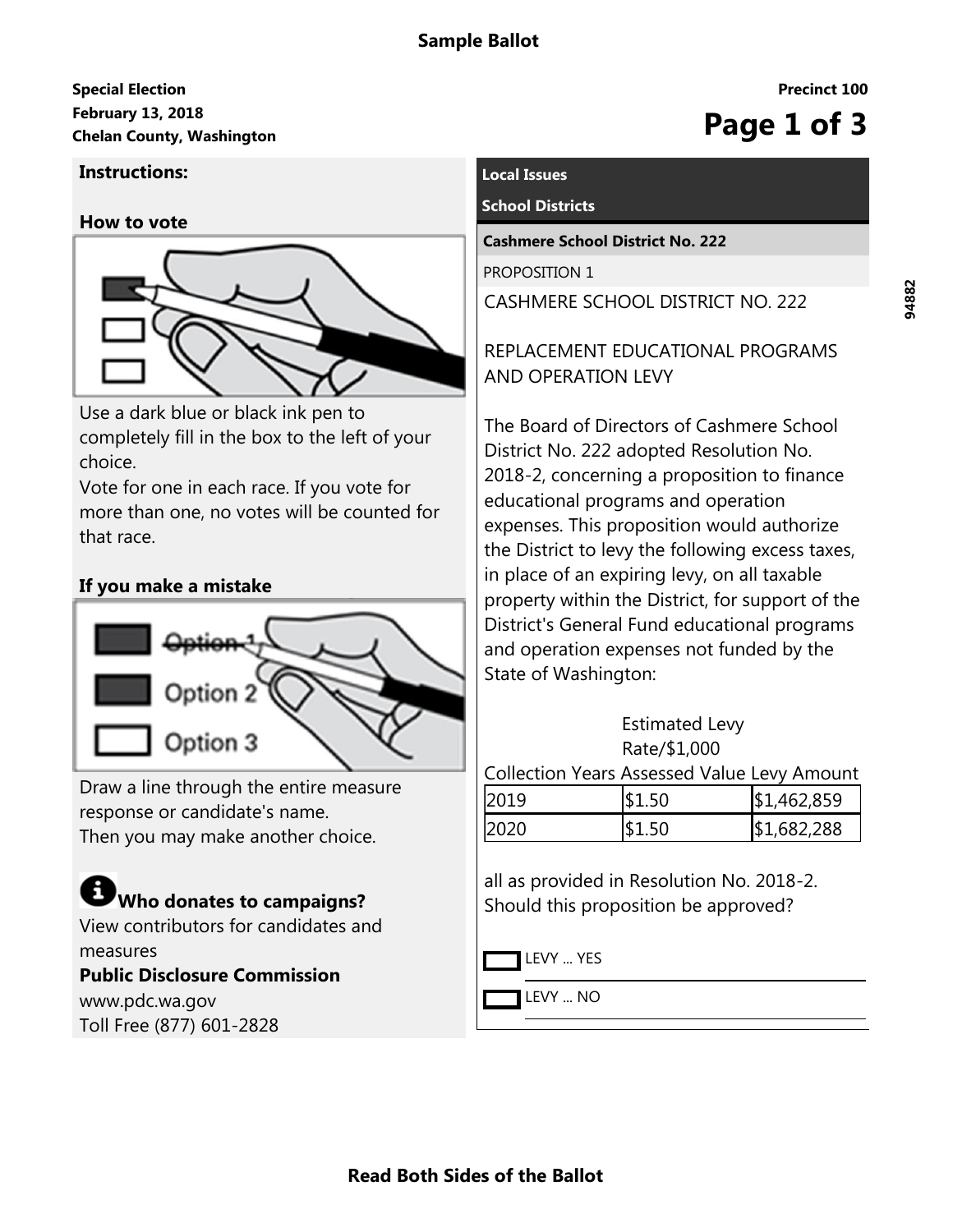# **February 13, 2018 Special Election Chelan County, Washington Page 1 of 3**

## **Instructions:**

#### **How to vote**



Use a dark blue or black ink pen to completely fill in the box to the left of your choice.

Vote for one in each race. If you vote for more than one, no votes will be counted for that race.

# **If you make a mistake**



Draw a line through the entire measure response or candidate's name. Then you may make another choice.

# **Who donates to campaigns?**

View contributors for candidates and measures **Public Disclosure Commission** www.pdc.wa.gov Toll Free (877) 601-2828

# **Local Issues**

#### **School Districts**

**Cashmere School District No. 222**

PROPOSITION 1

CASHMERE SCHOOL DISTRICT NO. 222

REPLACEMENT EDUCATIONAL PROGRAMS AND OPERATION LEVY

The Board of Directors of Cashmere School District No. 222 adopted Resolution No. 2018-2, concerning a proposition to finance educational programs and operation expenses. This proposition would authorize the District to levy the following excess taxes, in place of an expiring levy, on all taxable property within the District, for support of the District's General Fund educational programs and operation expenses not funded by the State of Washington:

| <b>Estimated Levy</b> |
|-----------------------|
| Rate/\$1,000          |

Collection Years Assessed Value Levy Amount

| $\Omega$ | 462,859 |
|----------|---------|
|          | 682,288 |

all as provided in Resolution No. 2018-2. Should this proposition be approved?

LEVY ... YES

LEVY ... NO

**Precinct 100**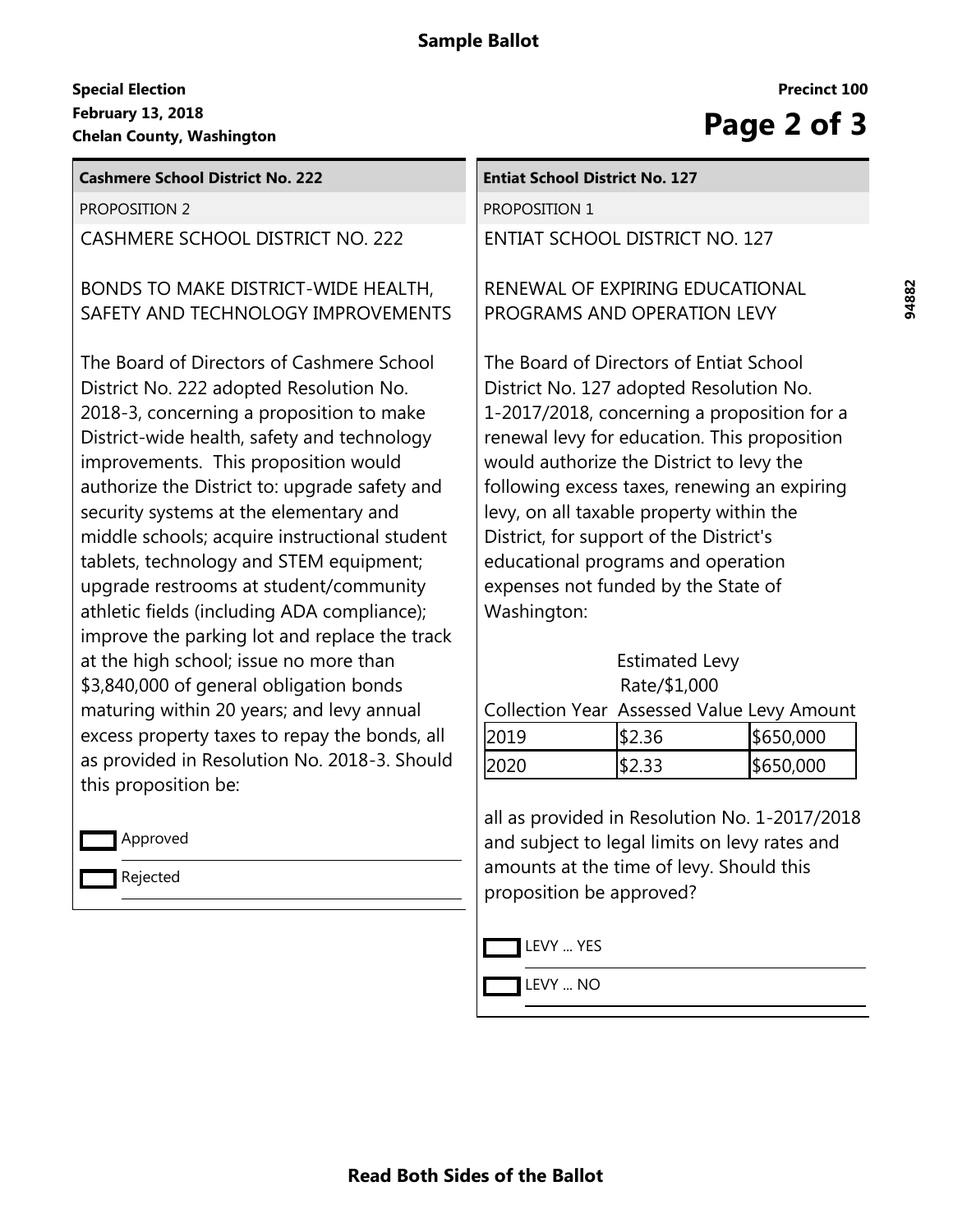# **Sample Ballot**

## **February 13, 2018 Special Election** February 13, 2018<br>
Chelan County, Washington<br> **Page 2 of 3**

| <b>Cashmere School District No. 222</b>                                                                                                                                                                                                                                                                                                                                                                                                                                                                                                                  | <b>Entiat School District No. 127</b>                                                                                                                                                                                                                                                                                                                                                                                                                            |                                                                                                |           |
|----------------------------------------------------------------------------------------------------------------------------------------------------------------------------------------------------------------------------------------------------------------------------------------------------------------------------------------------------------------------------------------------------------------------------------------------------------------------------------------------------------------------------------------------------------|------------------------------------------------------------------------------------------------------------------------------------------------------------------------------------------------------------------------------------------------------------------------------------------------------------------------------------------------------------------------------------------------------------------------------------------------------------------|------------------------------------------------------------------------------------------------|-----------|
| <b>PROPOSITION 2</b>                                                                                                                                                                                                                                                                                                                                                                                                                                                                                                                                     | PROPOSITION 1                                                                                                                                                                                                                                                                                                                                                                                                                                                    |                                                                                                |           |
| CASHMERE SCHOOL DISTRICT NO. 222                                                                                                                                                                                                                                                                                                                                                                                                                                                                                                                         | <b>ENTIAT SCHOOL DISTRICT NO. 127</b>                                                                                                                                                                                                                                                                                                                                                                                                                            |                                                                                                |           |
| BONDS TO MAKE DISTRICT-WIDE HEALTH,<br>SAFETY AND TECHNOLOGY IMPROVEMENTS                                                                                                                                                                                                                                                                                                                                                                                                                                                                                | RENEWAL OF EXPIRING EDUCATIONAL<br>PROGRAMS AND OPERATION LEVY                                                                                                                                                                                                                                                                                                                                                                                                   |                                                                                                |           |
| The Board of Directors of Cashmere School<br>District No. 222 adopted Resolution No.<br>2018-3, concerning a proposition to make<br>District-wide health, safety and technology<br>improvements. This proposition would<br>authorize the District to: upgrade safety and<br>security systems at the elementary and<br>middle schools; acquire instructional student<br>tablets, technology and STEM equipment;<br>upgrade restrooms at student/community<br>athletic fields (including ADA compliance);<br>improve the parking lot and replace the track | The Board of Directors of Entiat School<br>District No. 127 adopted Resolution No.<br>1-2017/2018, concerning a proposition for a<br>renewal levy for education. This proposition<br>would authorize the District to levy the<br>following excess taxes, renewing an expiring<br>levy, on all taxable property within the<br>District, for support of the District's<br>educational programs and operation<br>expenses not funded by the State of<br>Washington: |                                                                                                |           |
| at the high school; issue no more than<br>\$3,840,000 of general obligation bonds                                                                                                                                                                                                                                                                                                                                                                                                                                                                        |                                                                                                                                                                                                                                                                                                                                                                                                                                                                  | <b>Estimated Levy</b><br>Rate/\$1,000                                                          |           |
| maturing within 20 years; and levy annual                                                                                                                                                                                                                                                                                                                                                                                                                                                                                                                |                                                                                                                                                                                                                                                                                                                                                                                                                                                                  | Collection Year Assessed Value Levy Amount                                                     |           |
| excess property taxes to repay the bonds, all                                                                                                                                                                                                                                                                                                                                                                                                                                                                                                            | 2019                                                                                                                                                                                                                                                                                                                                                                                                                                                             | \$2.36                                                                                         | \$650,000 |
| as provided in Resolution No. 2018-3. Should<br>this proposition be:                                                                                                                                                                                                                                                                                                                                                                                                                                                                                     | 2020                                                                                                                                                                                                                                                                                                                                                                                                                                                             | \$2.33                                                                                         | \$650,000 |
| Approved                                                                                                                                                                                                                                                                                                                                                                                                                                                                                                                                                 |                                                                                                                                                                                                                                                                                                                                                                                                                                                                  | all as provided in Resolution No. 1-2017/2018<br>and subject to legal limits on levy rates and |           |
| Rejected                                                                                                                                                                                                                                                                                                                                                                                                                                                                                                                                                 | amounts at the time of levy. Should this<br>proposition be approved?                                                                                                                                                                                                                                                                                                                                                                                             |                                                                                                |           |



LEVY ... NO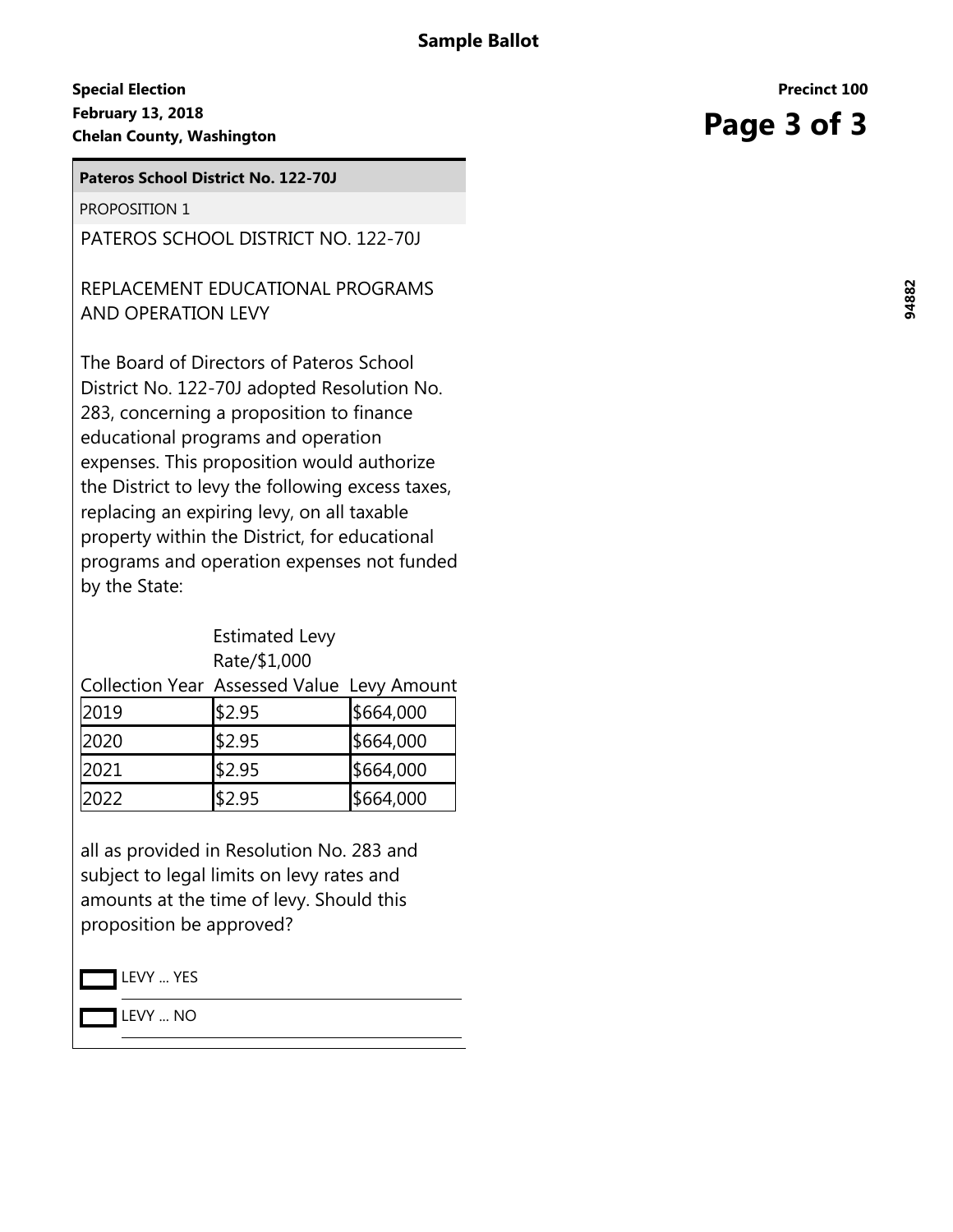## **February 13, 2018 Special Election Chelan County, Washington**<br>
Chelan County, Washington<br>
Chelan County, Washington

**Pateros School District No. 122-70J**

PROPOSITION 1

PATEROS SCHOOL DISTRICT NO. 122-70J

# REPLACEMENT EDUCATIONAL PROGRAMS AND OPERATION LEVY

The Board of Directors of Pateros School District No. 122-70J adopted Resolution No. 283, concerning a proposition to finance educational programs and operation expenses. This proposition would authorize the District to levy the following excess taxes, replacing an expiring levy, on all taxable property within the District, for educational programs and operation expenses not funded by the State:

#### Estimated Levy Rate/\$1,000

| $\sim$ |                                            | ا مممدمدا |  |
|--------|--------------------------------------------|-----------|--|
|        | Collection Year Assessed Value Levy Amount |           |  |
|        |                                            |           |  |

| 2019  | \$2.95 | \$664,000 |
|-------|--------|-----------|
| I2020 | \$2.95 | \$664,000 |
| 12021 | \$2.95 | \$664,000 |
| 2022  | \$2.95 | \$664,000 |

all as provided in Resolution No. 283 and subject to legal limits on levy rates and amounts at the time of levy. Should this proposition be approved?

LEVY ... YES

LEVY ... NO